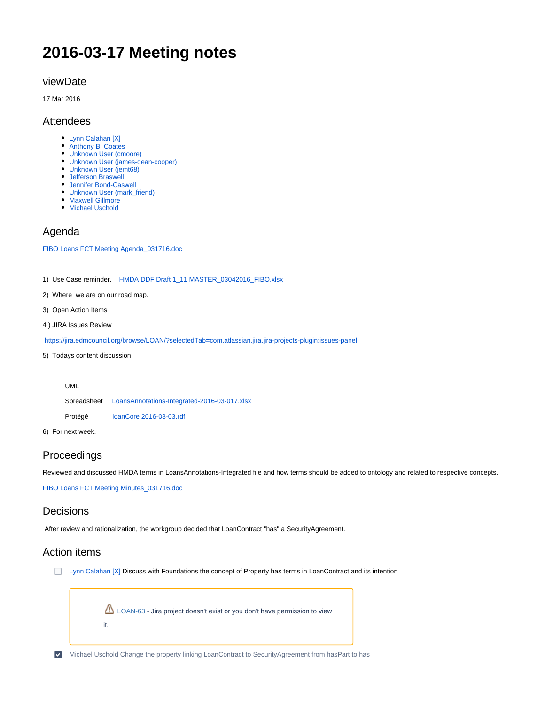# **2016-03-17 Meeting notes**

#### viewDate

17 Mar 2016

#### Attendees

- [Lynn Calahan \[X\]](https://wiki.edmcouncil.org/display/~lynncalahan)
- [Anthony B. Coates](https://wiki.edmcouncil.org/display/~abcoates)
- [Unknown User \(cmoore\)](https://wiki.edmcouncil.org/display/~cmoore)
- [Unknown User \(james-dean-cooper\)](https://wiki.edmcouncil.org/display/~james-dean-cooper) [Unknown User \(jemt68\)](https://wiki.edmcouncil.org/display/~jemt68)
- [Jefferson Braswell](https://wiki.edmcouncil.org/display/~ljb)
- [Jennifer Bond-Caswell](https://wiki.edmcouncil.org/display/~JENNIFER.CASWELL)
- [Unknown User \(mark\\_friend\)](https://wiki.edmcouncil.org/display/~Mark_Friend)
- [Maxwell Gillmore](https://wiki.edmcouncil.org/display/~maxwellrgillmore)
- [Michael Uschold](https://wiki.edmcouncil.org/display/~uscholdm)

## Agenda

[FIBO Loans FCT Meeting Agenda\\_031716.doc](https://wiki.edmcouncil.org/download/attachments/6357134/FIBO%20Loans%20FCT%20Meeting%20Agenda_031716.doc?version=1&modificationDate=1458233375000&api=v2)

1) Use Case reminder. [HMDA DDF Draft 1\\_11 MASTER\\_03042016\\_FIBO.xlsx](https://wiki.edmcouncil.org/download/attachments/6357134/HMDA%20DDF%20Draft%201_11%20MASTER_03042016_FIBO.xlsx?version=1&modificationDate=1458233375000&api=v2)

- 2) Where we are on our road map.
- 3) Open Action Items
- 4 ) JIRA Issues Review

<https://jira.edmcouncil.org/browse/LOAN/?selectedTab=com.atlassian.jira.jira-projects-plugin:issues-panel>

5) Todays content discussion.

| UML |
|-----|
|-----|

Spreadsheet [LoansAnnotations-Integrated-2016-03-017.xlsx](https://wiki.edmcouncil.org/download/attachments/6357134/LoansAnnotations-Integrated-2016-03-017.xlsx?version=1&modificationDate=1458233375000&api=v2)

Protégé [loanCore 2016-03-03.rdf](https://wiki.edmcouncil.org/download/attachments/6357134/loanCore%202016-03-03.rdf?version=1&modificationDate=1458233375000&api=v2)

6) For next week.

## Proceedings

Reviewed and discussed HMDA terms in LoansAnnotations-Integrated file and how terms should be added to ontology and related to respective concepts.

[FIBO Loans FCT Meeting Minutes\\_031716.doc](https://wiki.edmcouncil.org/download/attachments/6357134/FIBO%20Loans%20FCT%20Meeting%20Minutes_031716.doc?version=1&modificationDate=1458757025000&api=v2)

## **Decisions**

After review and rationalization, the workgroup decided that LoanContract "has" a SecurityAgreement.

## Action items

**[Lynn Calahan \[X\]](https://wiki.edmcouncil.org/display/~lynncalahan) Discuss with Foundations the concept of Property has terms in LoanContract and its intention** 

[LOAN-63](https://jira.edmcouncil.org/browse/LOAN-63?src=confmacro) - Jira project doesn't exist or you don't have permission to view it.

[Michael Uschold](https://wiki.edmcouncil.org/display/~uscholdm) Change the property linking LoanContract to SecurityAgreement from hasPart to has